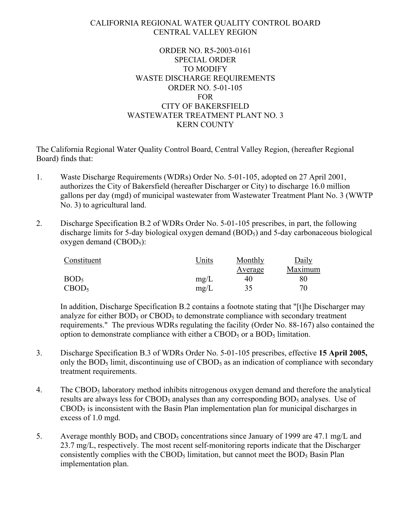#### CALIFORNIA REGIONAL WATER QUALITY CONTROL BOARD CENTRAL VALLEY REGION

# ORDER NO. R5-2003-0161 SPECIAL ORDER TO MODIFY WASTE DISCHARGE REQUIREMENTS ORDER NO. 5-01-105 FOR CITY OF BAKERSFIELD WASTEWATER TREATMENT PLANT NO. 3 KERN COUNTY

The California Regional Water Quality Control Board, Central Valley Region, (hereafter Regional Board) finds that:

- 1. Waste Discharge Requirements (WDRs) Order No. 5-01-105, adopted on 27 April 2001, authorizes the City of Bakersfield (hereafter Discharger or City) to discharge 16.0 million gallons per day (mgd) of municipal wastewater from Wastewater Treatment Plant No. 3 (WWTP No. 3) to agricultural land.
- 2. Discharge Specification B.2 of WDRs Order No. 5-01-105 prescribes, in part, the following discharge limits for 5-day biological oxygen demand (BOD<sub>5</sub>) and 5-day carbonaceous biological oxygen demand  $(CBOD_5)$ :

| Constituent       | Units | Monthly | Daily   |
|-------------------|-------|---------|---------|
|                   |       | Average | Maximum |
| BOD <sub>5</sub>  | mg/L  | 40      | 80      |
| CBOD <sub>5</sub> | mg/L  | 35      | 70      |

 In addition, Discharge Specification B.2 contains a footnote stating that "[t]he Discharger may analyze for either  $BOD_5$  or  $CBOD_5$  to demonstrate compliance with secondary treatment requirements." The previous WDRs regulating the facility (Order No. 88-167) also contained the option to demonstrate compliance with either a CBOD<sub>5</sub> or a BOD<sub>5</sub> limitation.

- 3. Discharge Specification B.3 of WDRs Order No. 5-01-105 prescribes, effective **15 April 2005,**  only the  $BOD_5$  limit, discontinuing use of  $CBOD_5$  as an indication of compliance with secondary treatment requirements.
- 4. The CBOD5 laboratory method inhibits nitrogenous oxygen demand and therefore the analytical results are always less for CBOD<sub>5</sub> analyses than any corresponding  $BOD_5$  analyses. Use of  $CBOD<sub>5</sub>$  is inconsistent with the Basin Plan implementation plan for municipal discharges in excess of 1.0 mgd.
- 5. Average monthly BOD<sub>5</sub> and CBOD<sub>5</sub> concentrations since January of 1999 are 47.1 mg/L and 23.7 mg/L, respectively. The most recent self-monitoring reports indicate that the Discharger consistently complies with the CBOD<sub>5</sub> limitation, but cannot meet the  $BOD_5$  Basin Plan implementation plan.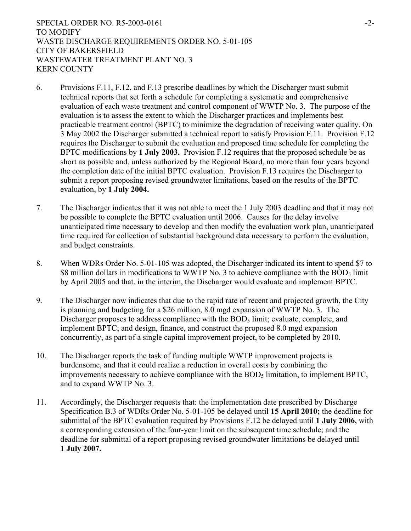SPECIAL ORDER NO. R5-2003-0161 TO MODIFY WASTE DISCHARGE REQUIREMENTS ORDER NO. 5-01-105 CITY OF BAKERSFIELD WASTEWATER TREATMENT PLANT NO. 3 KERN COUNTY

- 6. Provisions F.11, F.12, and F.13 prescribe deadlines by which the Discharger must submit technical reports that set forth a schedule for completing a systematic and comprehensive evaluation of each waste treatment and control component of WWTP No. 3. The purpose of the evaluation is to assess the extent to which the Discharger practices and implements best practicable treatment control (BPTC) to minimize the degradation of receiving water quality. On 3 May 2002 the Discharger submitted a technical report to satisfy Provision F.11. Provision F.12 requires the Discharger to submit the evaluation and proposed time schedule for completing the BPTC modifications by **1 July 2003.** Provision F.12 requires that the proposed schedule be as short as possible and, unless authorized by the Regional Board, no more than four years beyond the completion date of the initial BPTC evaluation. Provision F.13 requires the Discharger to submit a report proposing revised groundwater limitations, based on the results of the BPTC evaluation, by **1 July 2004.**
- 7. The Discharger indicates that it was not able to meet the 1 July 2003 deadline and that it may not be possible to complete the BPTC evaluation until 2006. Causes for the delay involve unanticipated time necessary to develop and then modify the evaluation work plan, unanticipated time required for collection of substantial background data necessary to perform the evaluation, and budget constraints.
- 8. When WDRs Order No. 5-01-105 was adopted, the Discharger indicated its intent to spend \$7 to \$8 million dollars in modifications to WWTP No. 3 to achieve compliance with the  $BOD<sub>5</sub>$  limit by April 2005 and that, in the interim, the Discharger would evaluate and implement BPTC.
- 9. The Discharger now indicates that due to the rapid rate of recent and projected growth, the City is planning and budgeting for a \$26 million, 8.0 mgd expansion of WWTP No. 3. The Discharger proposes to address compliance with the  $BOD<sub>5</sub>$  limit; evaluate, complete, and implement BPTC; and design, finance, and construct the proposed 8.0 mgd expansion concurrently, as part of a single capital improvement project, to be completed by 2010.
- 10. The Discharger reports the task of funding multiple WWTP improvement projects is burdensome, and that it could realize a reduction in overall costs by combining the improvements necessary to achieve compliance with the  $BOD<sub>5</sub>$  limitation, to implement  $BPTC$ , and to expand WWTP No. 3.
- 11. Accordingly, the Discharger requests that: the implementation date prescribed by Discharge Specification B.3 of WDRs Order No. 5-01-105 be delayed until **15 April 2010;** the deadline for submittal of the BPTC evaluation required by Provisions F.12 be delayed until **1 July 2006,** with a corresponding extension of the four-year limit on the subsequent time schedule; and the deadline for submittal of a report proposing revised groundwater limitations be delayed until **1 July 2007.**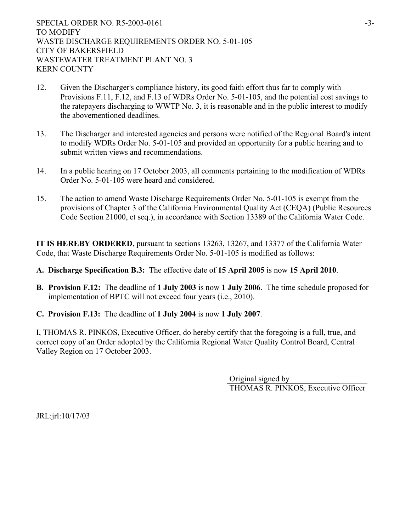- 12. Given the Discharger's compliance history, its good faith effort thus far to comply with Provisions F.11, F.12, and F.13 of WDRs Order No. 5-01-105, and the potential cost savings to the ratepayers discharging to WWTP No. 3, it is reasonable and in the public interest to modify the abovementioned deadlines.
- 13. The Discharger and interested agencies and persons were notified of the Regional Board's intent to modify WDRs Order No. 5-01-105 and provided an opportunity for a public hearing and to submit written views and recommendations.
- 14. In a public hearing on 17 October 2003, all comments pertaining to the modification of WDRs Order No. 5-01-105 were heard and considered.
- 15. The action to amend Waste Discharge Requirements Order No. 5-01-105 is exempt from the provisions of Chapter 3 of the California Environmental Quality Act (CEQA) (Public Resources Code Section 21000, et seq.), in accordance with Section 13389 of the California Water Code.

**IT IS HEREBY ORDERED**, pursuant to sections 13263, 13267, and 13377 of the California Water Code, that Waste Discharge Requirements Order No. 5-01-105 is modified as follows:

- **A. Discharge Specification B.3:** The effective date of **15 April 2005** is now **15 April 2010**.
- **B. Provision F.12:** The deadline of **1 July 2003** is now **1 July 2006**. The time schedule proposed for implementation of BPTC will not exceed four years (i.e., 2010).
- **C. Provision F.13:** The deadline of **1 July 2004** is now **1 July 2007**.

I, THOMAS R. PINKOS, Executive Officer, do hereby certify that the foregoing is a full, true, and correct copy of an Order adopted by the California Regional Water Quality Control Board, Central Valley Region on 17 October 2003.

> Original signed by THOMAS R. PINKOS, Executive Officer

JRL:jrl:10/17/03